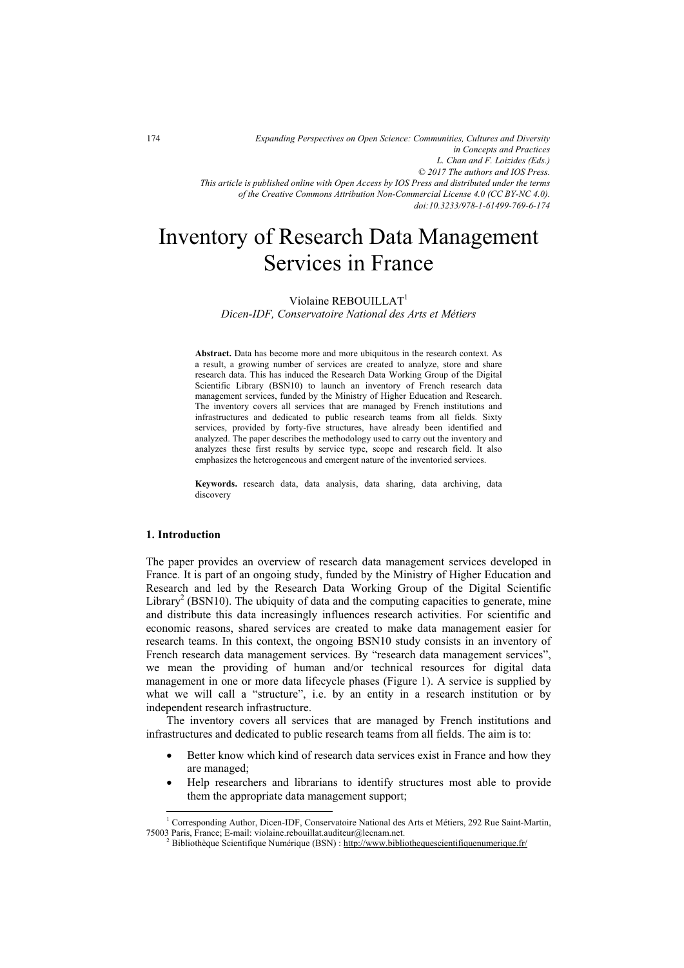*of the Creative Commons Attribution Non-Commercial License 4.0 (CC BY-NC 4.0). doi:10.3233/978-1-61499-769-6-174*

# Inventory of Research Data Management Services in France

## Violaine REBOUILLAT<sup>1</sup>

*Dicen-IDF, Conservatoire National des Arts et Métiers* 

**Abstract.** Data has become more and more ubiquitous in the research context. As a result, a growing number of services are created to analyze, store and share research data. This has induced the Research Data Working Group of the Digital Scientific Library (BSN10) to launch an inventory of French research data management services, funded by the Ministry of Higher Education and Research. The inventory covers all services that are managed by French institutions and infrastructures and dedicated to public research teams from all fields. Sixty services, provided by forty-five structures, have already been identified and analyzed. The paper describes the methodology used to carry out the inventory and analyzes these first results by service type, scope and research field. It also emphasizes the heterogeneous and emergent nature of the inventoried services.

**Keywords.** research data, data analysis, data sharing, data archiving, data discovery

### **1. Introduction**

j

The paper provides an overview of research data management services developed in France. It is part of an ongoing study, funded by the Ministry of Higher Education and Research and led by the Research Data Working Group of the Digital Scientific Library<sup>2</sup> (BSN10). The ubiquity of data and the computing capacities to generate, mine and distribute this data increasingly influences research activities. For scientific and economic reasons, shared services are created to make data management easier for research teams. In this context, the ongoing BSN10 study consists in an inventory of French research data management services. By "research data management services", we mean the providing of human and/or technical resources for digital data management in one or more data lifecycle phases (Figure 1). A service is supplied by what we will call a "structure", i.e. by an entity in a research institution or by independent research infrastructure.

The inventory covers all services that are managed by French institutions and infrastructures and dedicated to public research teams from all fields. The aim is to:

- $\bullet$  Better know which kind of research data services exist in France and how they are managed;
- - Help researchers and librarians to identify structures most able to provide them the appropriate data management support;

<sup>&</sup>lt;sup>1</sup> Corresponding Author, Dicen-IDF, Conservatoire National des Arts et Métiers, 292 Rue Saint-Martin, 75003 Paris, France; E-mail: violaine.rebouillat.auditeur@lecnam.net. 2

<sup>&</sup>lt;sup>2</sup> Bibliothèque Scientifique Numérique (BSN) : http://www.bibliothequescientifiquenumerique.fr/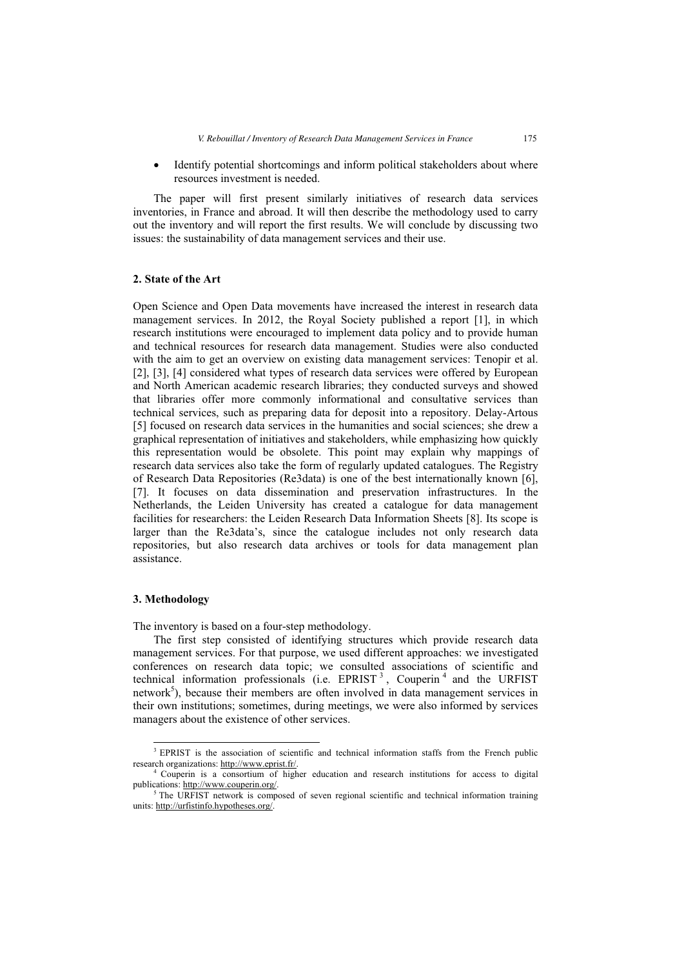- Identify potential shortcomings and inform political stakeholders about where resources investment is needed.

The paper will first present similarly initiatives of research data services inventories, in France and abroad. It will then describe the methodology used to carry out the inventory and will report the first results. We will conclude by discussing two issues: the sustainability of data management services and their use.

#### **2. State of the Art**

Open Science and Open Data movements have increased the interest in research data management services. In 2012, the Royal Society published a report [1], in which research institutions were encouraged to implement data policy and to provide human and technical resources for research data management. Studies were also conducted with the aim to get an overview on existing data management services: Tenopir et al. [2], [3], [4] considered what types of research data services were offered by European and North American academic research libraries; they conducted surveys and showed that libraries offer more commonly informational and consultative services than technical services, such as preparing data for deposit into a repository. Delay-Artous [5] focused on research data services in the humanities and social sciences; she drew a graphical representation of initiatives and stakeholders, while emphasizing how quickly this representation would be obsolete. This point may explain why mappings of research data services also take the form of regularly updated catalogues. The Registry of Research Data Repositories (Re3data) is one of the best internationally known [6], [7]. It focuses on data dissemination and preservation infrastructures. In the Netherlands, the Leiden University has created a catalogue for data management facilities for researchers: the Leiden Research Data Information Sheets [8]. Its scope is larger than the Re3data's, since the catalogue includes not only research data repositories, but also research data archives or tools for data management plan assistance.

#### **3. Methodology**

The inventory is based on a four-step methodology.

The first step consisted of identifying structures which provide research data management services. For that purpose, we used different approaches: we investigated conferences on research data topic; we consulted associations of scientific and technical information professionals (i.e.  $EPRIST<sup>3</sup>$ , Couperin<sup>4</sup> and the URFIST network<sup>5</sup>), because their members are often involved in data management services in their own institutions; sometimes, during meetings, we were also informed by services managers about the existence of other services.

<sup>-</sup><sup>3</sup> EPRIST is the association of scientific and technical information staffs from the French public

research organizations: http://www.eprist.fr/.<br><sup>4</sup> Couperin is a consortium of higher education and research institutions for access to digital publications: http://www.couperin.org/. 5

<sup>&</sup>lt;sup>5</sup> The URFIST network is composed of seven regional scientific and technical information training units: http://urfistinfo.hypotheses.org/.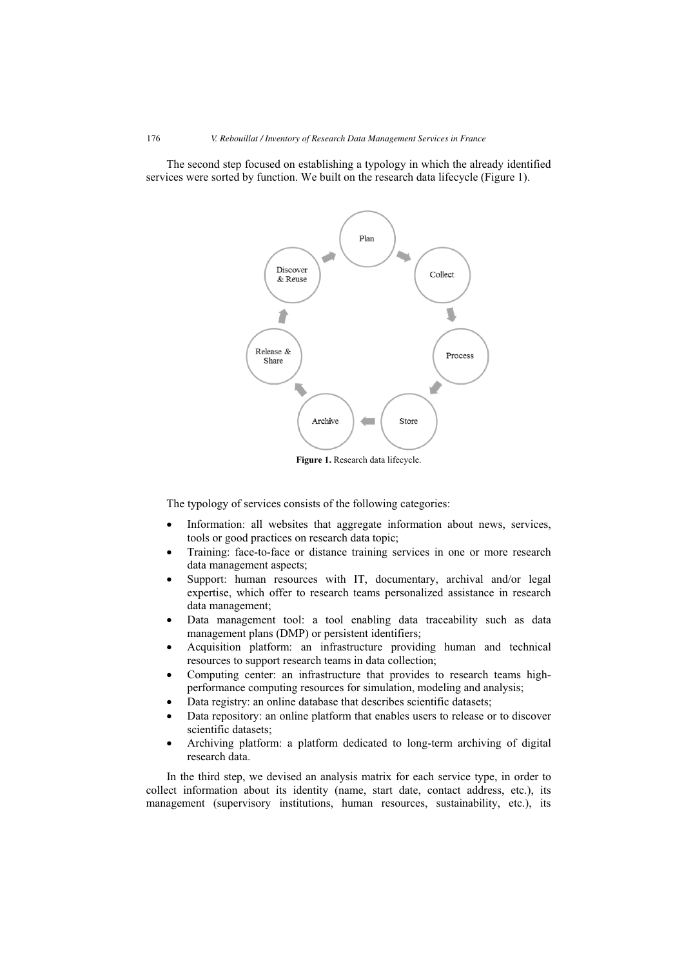The second step focused on establishing a typology in which the already identified services were sorted by function. We built on the research data lifecycle (Figure 1).



**Figure 1.** Research data lifecycle.

The typology of services consists of the following categories:

- - Information: all websites that aggregate information about news, services, tools or good practices on research data topic;
- - Training: face-to-face or distance training services in one or more research data management aspects;
- - Support: human resources with IT, documentary, archival and/or legal expertise, which offer to research teams personalized assistance in research data management;
- - Data management tool: a tool enabling data traceability such as data management plans (DMP) or persistent identifiers;
- - Acquisition platform: an infrastructure providing human and technical resources to support research teams in data collection;
- - Computing center: an infrastructure that provides to research teams highperformance computing resources for simulation, modeling and analysis;
- -Data registry: an online database that describes scientific datasets;
- - Data repository: an online platform that enables users to release or to discover scientific datasets;
- - Archiving platform: a platform dedicated to long-term archiving of digital research data.

In the third step, we devised an analysis matrix for each service type, in order to collect information about its identity (name, start date, contact address, etc.), its management (supervisory institutions, human resources, sustainability, etc.), its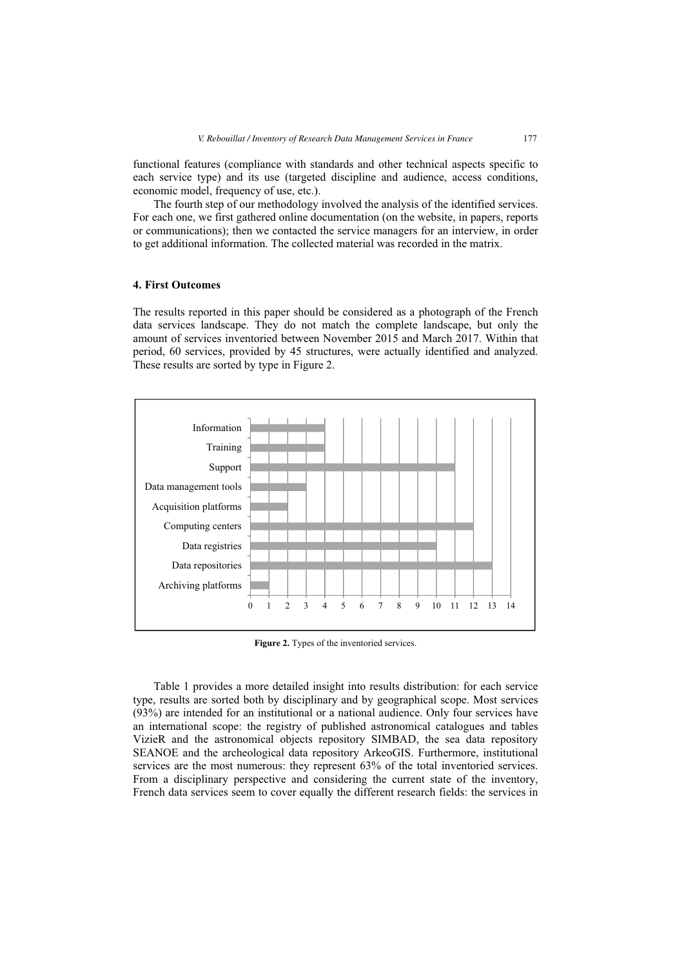functional features (compliance with standards and other technical aspects specific to each service type) and its use (targeted discipline and audience, access conditions, economic model, frequency of use, etc.).

The fourth step of our methodology involved the analysis of the identified services. For each one, we first gathered online documentation (on the website, in papers, reports or communications); then we contacted the service managers for an interview, in order to get additional information. The collected material was recorded in the matrix.

#### **4. First Outcomes**

The results reported in this paper should be considered as a photograph of the French data services landscape. They do not match the complete landscape, but only the amount of services inventoried between November 2015 and March 2017. Within that period, 60 services, provided by 45 structures, were actually identified and analyzed. These results are sorted by type in Figure 2.



**Figure 2.** Types of the inventoried services.

Table 1 provides a more detailed insight into results distribution: for each service type, results are sorted both by disciplinary and by geographical scope. Most services (93%) are intended for an institutional or a national audience. Only four services have an international scope: the registry of published astronomical catalogues and tables VizieR and the astronomical objects repository SIMBAD, the sea data repository SEANOE and the archeological data repository ArkeoGIS. Furthermore, institutional services are the most numerous: they represent 63% of the total inventoried services. From a disciplinary perspective and considering the current state of the inventory, French data services seem to cover equally the different research fields: the services in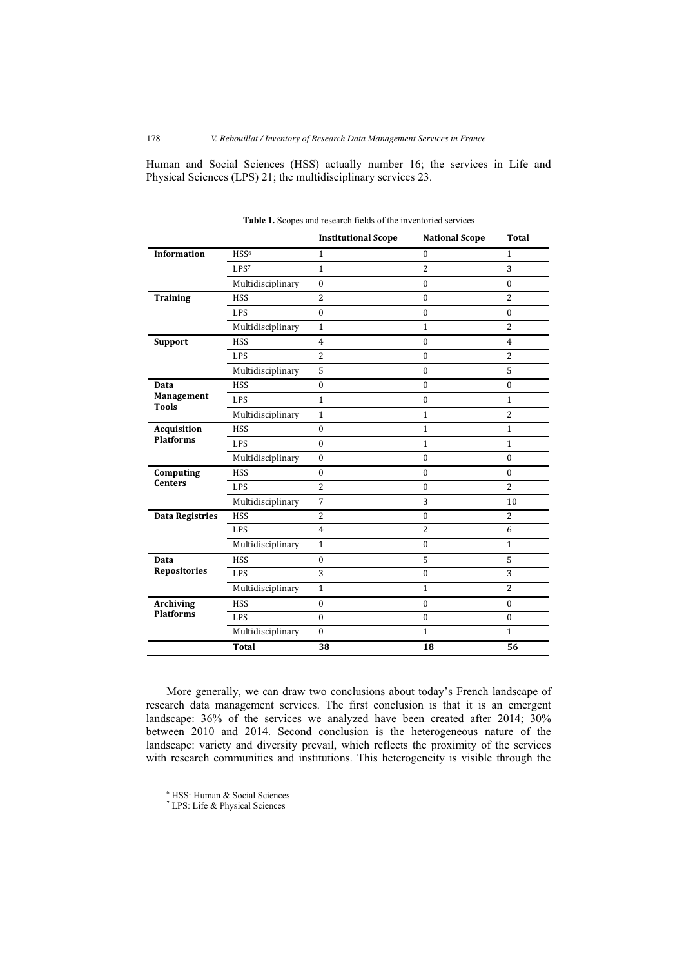Human and Social Sciences (HSS) actually number 16; the services in Life and Physical Sciences (LPS) 21; the multidisciplinary services 23.

|                                           |                   | <b>Institutional Scope</b> | <b>National Scope</b> | <b>Total</b>   |
|-------------------------------------------|-------------------|----------------------------|-----------------------|----------------|
| <b>Information</b>                        | HSS <sup>6</sup>  | $\mathbf{1}$               | $\mathbf{0}$          | $\mathbf{1}$   |
|                                           | LPS <sup>7</sup>  | $1\,$                      | $\overline{2}$        | 3              |
|                                           | Multidisciplinary | $\boldsymbol{0}$           | $\mathbf{0}$          | $\mathbf{0}$   |
| <b>Training</b>                           | <b>HSS</b>        | $\overline{2}$             | $\mathbf{0}$          | $\overline{c}$ |
|                                           | LPS               | $\boldsymbol{0}$           | $\mathbf{0}$          | $\mathbf{0}$   |
|                                           | Multidisciplinary | $\mathbf{1}$               | $\mathbf{1}$          | $\overline{2}$ |
| Support                                   | <b>HSS</b>        | $\overline{4}$             | $\Omega$              | $\overline{4}$ |
|                                           | <b>LPS</b>        | $\overline{2}$             | $\Omega$              | $\overline{2}$ |
|                                           | Multidisciplinary | 5                          | $\mathbf{0}$          | 5              |
| Data<br><b>Management</b><br><b>Tools</b> | <b>HSS</b>        | $\bf{0}$                   | $\mathbf{0}$          | $\theta$       |
|                                           | <b>LPS</b>        | $\mathbf{1}$               | $\mathbf{0}$          | $\mathbf{1}$   |
|                                           | Multidisciplinary | $\mathbf{1}$               | $\mathbf{1}$          | $\overline{c}$ |
| Acquisition<br><b>Platforms</b>           | <b>HSS</b>        | $\mathbf{0}$               | $\mathbf{1}$          | $\mathbf{1}$   |
|                                           | <b>LPS</b>        | $\mathbf{0}$               | $\mathbf{1}$          | $\mathbf{1}$   |
|                                           | Multidisciplinary | $\mathbf{0}$               | $\Omega$              | $\Omega$       |
| Computing<br><b>Centers</b>               | <b>HSS</b>        | $\boldsymbol{0}$           | $\mathbf{0}$          | $\bf{0}$       |
|                                           | <b>LPS</b>        | $\overline{2}$             | $\bf{0}$              | $\overline{c}$ |
|                                           | Multidisciplinary | $\overline{7}$             | 3                     | 10             |
| <b>Data Registries</b>                    | <b>HSS</b>        | $\overline{2}$             | $\Omega$              | $\overline{2}$ |
|                                           | LPS               | $\overline{4}$             | $\overline{2}$        | 6              |
|                                           | Multidisciplinary | $\mathbf{1}$               | $\theta$              | $\mathbf{1}$   |
| Data<br>Repositories                      | <b>HSS</b>        | $\bf{0}$                   | 5                     | 5              |
|                                           | <b>LPS</b>        | 3                          | $\mathbf{0}$          | 3              |
|                                           | Multidisciplinary | $\mathbf{1}$               | $\mathbf{1}$          | $\overline{2}$ |
| <b>Archiving</b><br><b>Platforms</b>      | <b>HSS</b>        | $\boldsymbol{0}$           | $\mathbf{0}$          | $\mathbf{0}$   |
|                                           | <b>LPS</b>        | $\mathbf{0}$               | $\theta$              | $\mathbf{0}$   |
|                                           | Multidisciplinary | $\mathbf{0}$               | $\mathbf{1}$          | $\mathbf{1}$   |
|                                           | <b>Total</b>      | 38                         | 18                    | 56             |

**Table 1.** Scopes and research fields of the inventoried services

More generally, we can draw two conclusions about today's French landscape of research data management services. The first conclusion is that it is an emergent landscape: 36% of the services we analyzed have been created after 2014; 30% between 2010 and 2014. Second conclusion is the heterogeneous nature of the landscape: variety and diversity prevail, which reflects the proximity of the services with research communities and institutions. This heterogeneity is visible through the

-

<sup>6</sup> HSS: Human & Social Sciences

<sup>7</sup> LPS: Life & Physical Sciences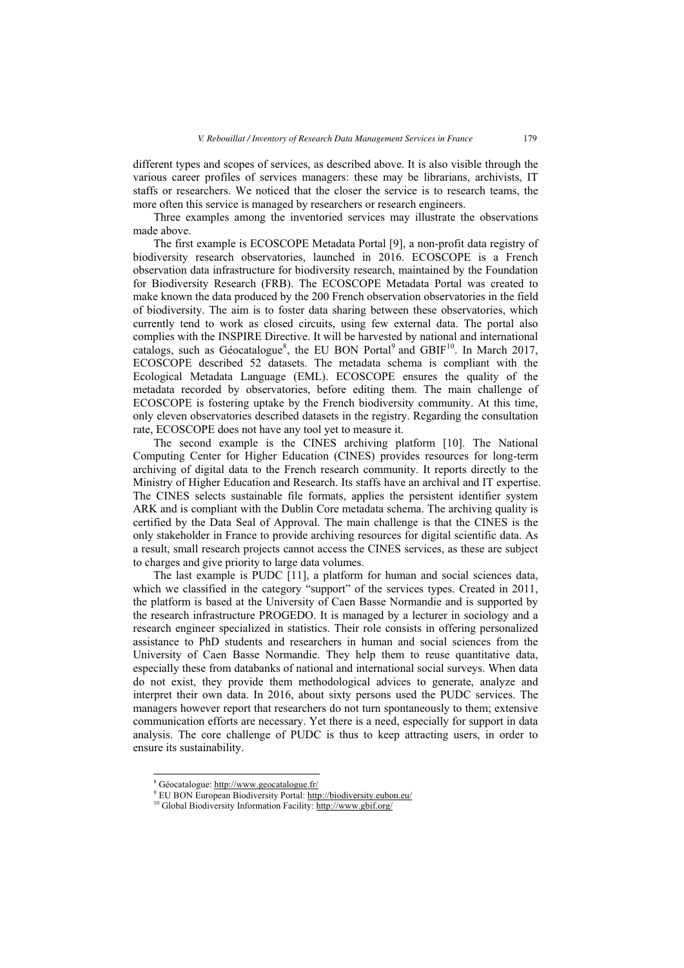different types and scopes of services, as described above. It is also visible through the various career profiles of services managers: these may be librarians, archivists, IT staffs or researchers. We noticed that the closer the service is to research teams, the more often this service is managed by researchers or research engineers.

Three examples among the inventoried services may illustrate the observations made above.

The first example is ECOSCOPE Metadata Portal [9], a non-profit data registry of biodiversity research observatories, launched in 2016. ECOSCOPE is a French observation data infrastructure for biodiversity research, maintained by the Foundation for Biodiversity Research (FRB). The ECOSCOPE Metadata Portal was created to make known the data produced by the 200 French observation observatories in the field of biodiversity. The aim is to foster data sharing between these observatories, which currently tend to work as closed circuits, using few external data. The portal also complies with the INSPIRE Directive. It will be harvested by national and international catalogs, such as Géocatalogue<sup>8</sup>, the EU BON Portal<sup>9</sup> and GBIF<sup>10</sup>. In March 2017, ECOSCOPE described 52 datasets. The metadata schema is compliant with the Ecological Metadata Language (EML). ECOSCOPE ensures the quality of the metadata recorded by observatories, before editing them. The main challenge of ECOSCOPE is fostering uptake by the French biodiversity community. At this time, only eleven observatories described datasets in the registry. Regarding the consultation rate, ECOSCOPE does not have any tool yet to measure it.

The second example is the CINES archiving platform [10]. The National Computing Center for Higher Education (CINES) provides resources for long-term archiving of digital data to the French research community. It reports directly to the Ministry of Higher Education and Research. Its staffs have an archival and IT expertise. The CINES selects sustainable file formats, applies the persistent identifier system ARK and is compliant with the Dublin Core metadata schema. The archiving quality is certified by the Data Seal of Approval. The main challenge is that the CINES is the only stakeholder in France to provide archiving resources for digital scientific data. As a result, small research projects cannot access the CINES services, as these are subject to charges and give priority to large data volumes.

The last example is PUDC [11], a platform for human and social sciences data, which we classified in the category "support" of the services types. Created in 2011, the platform is based at the University of Caen Basse Normandie and is supported by the research infrastructure PROGEDO. It is managed by a lecturer in sociology and a research engineer specialized in statistics. Their role consists in offering personalized assistance to PhD students and researchers in human and social sciences from the University of Caen Basse Normandie. They help them to reuse quantitative data, especially these from databanks of national and international social surveys. When data do not exist, they provide them methodological advices to generate, analyze and interpret their own data. In 2016, about sixty persons used the PUDC services. The managers however report that researchers do not turn spontaneously to them; extensive communication efforts are necessary. Yet there is a need, especially for support in data analysis. The core challenge of PUDC is thus to keep attracting users, in order to ensure its sustainability.

-

<sup>&</sup>lt;sup>8</sup> Géocatalogue: http://www.geocatalogue.fr/

<sup>&</sup>lt;sup>9</sup> EU BON European Biodiversity Portal: http://biodiversity.eubon.eu/

<sup>&</sup>lt;sup>10</sup> Global Biodiversity Information Facility: http://www.gbif.org/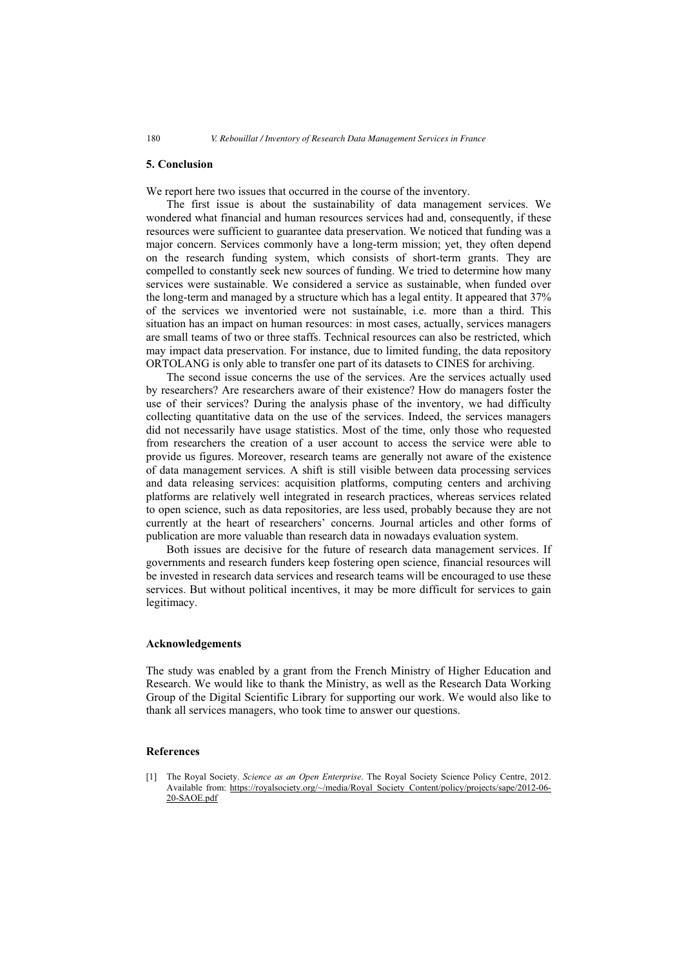#### **5. Conclusion**

We report here two issues that occurred in the course of the inventory.

The first issue is about the sustainability of data management services. We wondered what financial and human resources services had and, consequently, if these resources were sufficient to guarantee data preservation. We noticed that funding was a major concern. Services commonly have a long-term mission; yet, they often depend on the research funding system, which consists of short-term grants. They are compelled to constantly seek new sources of funding. We tried to determine how many services were sustainable. We considered a service as sustainable, when funded over the long-term and managed by a structure which has a legal entity. It appeared that 37% of the services we inventoried were not sustainable, i.e. more than a third. This situation has an impact on human resources: in most cases, actually, services managers are small teams of two or three staffs. Technical resources can also be restricted, which may impact data preservation. For instance, due to limited funding, the data repository ORTOLANG is only able to transfer one part of its datasets to CINES for archiving.

The second issue concerns the use of the services. Are the services actually used by researchers? Are researchers aware of their existence? How do managers foster the use of their services? During the analysis phase of the inventory, we had difficulty collecting quantitative data on the use of the services. Indeed, the services managers did not necessarily have usage statistics. Most of the time, only those who requested from researchers the creation of a user account to access the service were able to provide us figures. Moreover, research teams are generally not aware of the existence of data management services. A shift is still visible between data processing services and data releasing services: acquisition platforms, computing centers and archiving platforms are relatively well integrated in research practices, whereas services related to open science, such as data repositories, are less used, probably because they are not currently at the heart of researchers' concerns. Journal articles and other forms of publication are more valuable than research data in nowadays evaluation system.

Both issues are decisive for the future of research data management services. If governments and research funders keep fostering open science, financial resources will be invested in research data services and research teams will be encouraged to use these services. But without political incentives, it may be more difficult for services to gain legitimacy.

#### **Acknowledgements**

The study was enabled by a grant from the French Ministry of Higher Education and Research. We would like to thank the Ministry, as well as the Research Data Working Group of the Digital Scientific Library for supporting our work. We would also like to thank all services managers, who took time to answer our questions.

#### **References**

[1] The Royal Society. *Science as an Open Enterprise*. The Royal Society Science Policy Centre, 2012. Available from: https://royalsociety.org/~/media/Royal\_Society\_Content/policy/projects/sape/2012-06- 20-SAOE.pdf